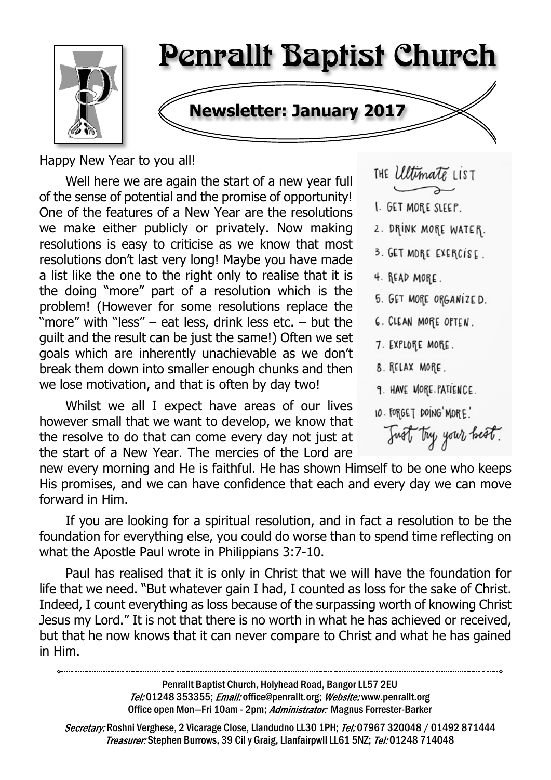

# Penrallt Baptist Church

## **Newsletter: January 2017**

Happy New Year to you all!

Well here we are again the start of a new year full of the sense of potential and the promise of opportunity! One of the features of a New Year are the resolutions we make either publicly or privately. Now making resolutions is easy to criticise as we know that most resolutions don't last very long! Maybe you have made a list like the one to the right only to realise that it is the doing "more" part of a resolution which is the problem! (However for some resolutions replace the "more" with "less" – eat less, drink less etc. – but the guilt and the result can be just the same!) Often we set goals which are inherently unachievable as we don't break them down into smaller enough chunks and then we lose motivation, and that is often by day two!

Whilst we all I expect have areas of our lives however small that we want to develop, we know that the resolve to do that can come every day not just at the start of a New Year. The mercies of the Lord are THE *Ultimate* LIST

- I. GET MORE SLEEP.
- 2. DRINK MORE WATER.
- 3. GET MORE EXERCISE.
- 4. READ MORE.
- 5. GET MORE ORGANIZED.
- **6. CLEAN MORE OPTEN.**
- 7. EXPLORE MORE.
- 8. RELAX MORE.
- 9. HAVE MORE PATIENCE.
- 10. FORGET DOING MORE!

Just try your heat.

new every morning and He is faithful. He has shown Himself to be one who keeps His promises, and we can have confidence that each and every day we can move forward in Him.

If you are looking for a spiritual resolution, and in fact a resolution to be the foundation for everything else, you could do worse than to spend time reflecting on what the Apostle Paul wrote in Philippians 3:7-10.

Paul has realised that it is only in Christ that we will have the foundation for life that we need. "But whatever gain I had, I counted as loss for the sake of Christ. Indeed, I count everything as loss because of the surpassing worth of knowing Christ Jesus my Lord." It is not that there is no worth in what he has achieved or received, but that he now knows that it can never compare to Christ and what he has gained in Him.

> Penrallt Baptist Church, Holyhead Road, Bangor LL57 2EU Tel:01248 353355; Email: office@penrallt.org; Website: www.penrallt.org Office open Mon-Fri 10am - 2pm; Administrator: Magnus Forrester-Barker

Secretary: Roshni Verghese, 2 Vicarage Close, Llandudno LL30 1PH; Tel: 07967 320048 / 01492 871444 Treasurer: Stephen Burrows, 39 Cil y Graig, Llanfairpwll LL61 5NZ; Tel: 01248 714048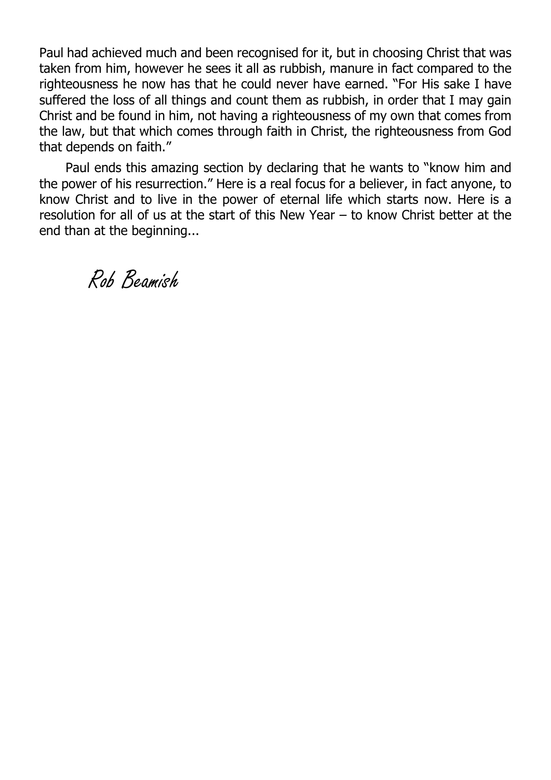Paul had achieved much and been recognised for it, but in choosing Christ that was taken from him, however he sees it all as rubbish, manure in fact compared to the righteousness he now has that he could never have earned. "For His sake I have suffered the loss of all things and count them as rubbish, in order that I may gain Christ and be found in him, not having a righteousness of my own that comes from the law, but that which comes through faith in Christ, the righteousness from God that depends on faith."

Paul ends this amazing section by declaring that he wants to "know him and the power of his resurrection." Here is a real focus for a believer, in fact anyone, to know Christ and to live in the power of eternal life which starts now. Here is a resolution for all of us at the start of this New Year – to know Christ better at the end than at the beginning...

Rob Beamish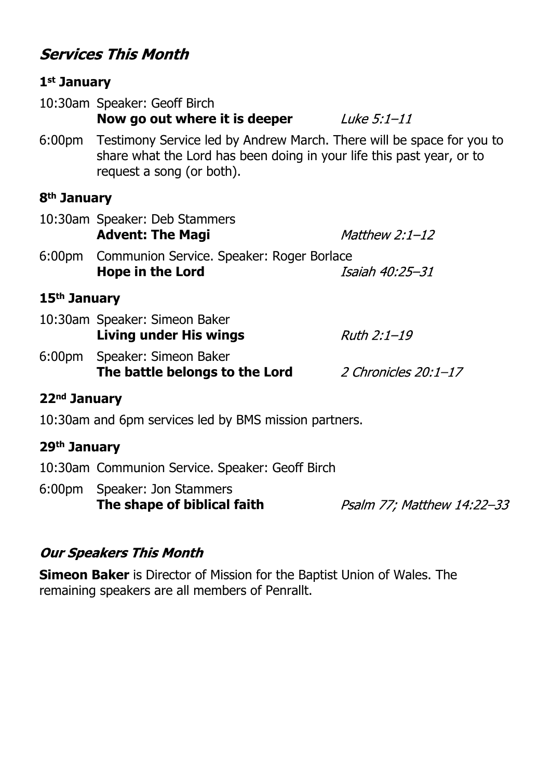#### **Services This Month**

#### **1st January** 10:30am Speaker: Geoff Birch **Now go out where it is deeper** Luke 5:1-11 6:00pm Testimony Service led by Andrew March. There will be space for you to share what the Lord has been doing in your life this past year, or to request a song (or both). **8th January** 10:30am Speaker: Deb Stammers **Advent: The Magi** Matthew  $2:1-12$ 6:00pm Communion Service. Speaker: Roger Borlace **Hope in the Lord** Isaiah 40:25-31 **15th January** 10:30am Speaker: Simeon Baker **Living under His wings**  $Ruth 2:1-19$ 6:00pm Speaker: Simeon Baker **The battle belongs to the Lord** 2 Chronicles 20:1-17 **22nd January** 10:30am and 6pm services led by BMS mission partners.

- **29th January**
- 10:30am Communion Service. Speaker: Geoff Birch
- 6:00pm Speaker: Jon Stammers **The shape of biblical faith**

Psalm 77; Matthew 14:22-33

#### **Our Speakers This Month**

**Simeon Baker** is Director of Mission for the Baptist Union of Wales. The remaining speakers are all members of Penrallt.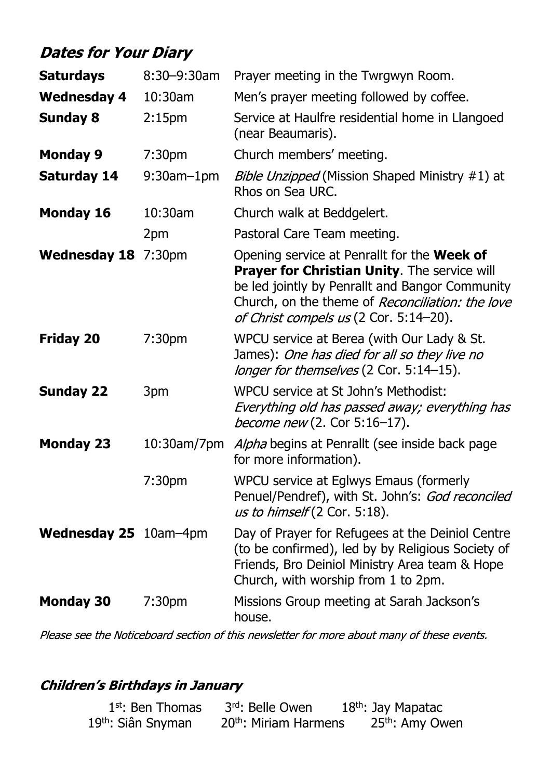## **Dates for Your Diary**

| <b>Saturdays</b>      | $8:30 - 9:30$ am   | Prayer meeting in the Twrgwyn Room.                                                                                                                                                                                                                        |  |
|-----------------------|--------------------|------------------------------------------------------------------------------------------------------------------------------------------------------------------------------------------------------------------------------------------------------------|--|
| <b>Wednesday 4</b>    | 10:30am            | Men's prayer meeting followed by coffee.                                                                                                                                                                                                                   |  |
| <b>Sunday 8</b>       | 2:15 <sub>pm</sub> | Service at Haulfre residential home in Llangoed<br>(near Beaumaris).                                                                                                                                                                                       |  |
| <b>Monday 9</b>       | 7:30 <sub>pm</sub> | Church members' meeting.                                                                                                                                                                                                                                   |  |
| <b>Saturday 14</b>    | $9:30$ am $-1$ pm  | <i>Bible Unzipped</i> (Mission Shaped Ministry #1) at<br>Rhos on Sea URC.                                                                                                                                                                                  |  |
| <b>Monday 16</b>      | 10:30am            | Church walk at Beddgelert.                                                                                                                                                                                                                                 |  |
|                       | 2pm                | Pastoral Care Team meeting.                                                                                                                                                                                                                                |  |
| Wednesday 18 7:30pm   |                    | Opening service at Penrallt for the <b>Week of</b><br><b>Prayer for Christian Unity.</b> The service will<br>be led jointly by Penrallt and Bangor Community<br>Church, on the theme of Reconciliation: the love<br>of Christ compels us (2 Cor. 5:14-20). |  |
| <b>Friday 20</b>      | 7:30 <sub>pm</sub> | WPCU service at Berea (with Our Lady & St.<br>James): One has died for all so they live no<br>longer for themselves (2 Cor. 5:14-15).                                                                                                                      |  |
| <b>Sunday 22</b>      | 3pm                | WPCU service at St John's Methodist:<br>Everything old has passed away; everything has<br><i>become new</i> (2. Cor 5:16-17).                                                                                                                              |  |
| <b>Monday 23</b>      | 10:30am/7pm        | Alpha begins at Penrallt (see inside back page<br>for more information).                                                                                                                                                                                   |  |
|                       | 7:30pm             | WPCU service at Eglwys Emaus (formerly<br>Penuel/Pendref), with St. John's: God reconciled<br>us to himself (2 Cor. 5:18).                                                                                                                                 |  |
| Wednesday 25 10am-4pm |                    | Day of Prayer for Refugees at the Deiniol Centre<br>(to be confirmed), led by by Religious Society of<br>Friends, Bro Deiniol Ministry Area team & Hope<br>Church, with worship from 1 to 2pm.                                                             |  |
| <b>Monday 30</b>      | 7:30 <sub>pm</sub> | Missions Group meeting at Sarah Jackson's<br>house.                                                                                                                                                                                                        |  |

Please see the Noticeboard section of this newsletter for more about many of these events.

#### **Children's Birthdays in January**

| $1st$ : Ben Thomas             | 3rd: Belle Owen                   | 18 <sup>th</sup> : Jay Mapatac |
|--------------------------------|-----------------------------------|--------------------------------|
| 19 <sup>th</sup> : Siân Snyman | 20 <sup>th</sup> : Miriam Harmens | 25 <sup>th</sup> : Amy Owen    |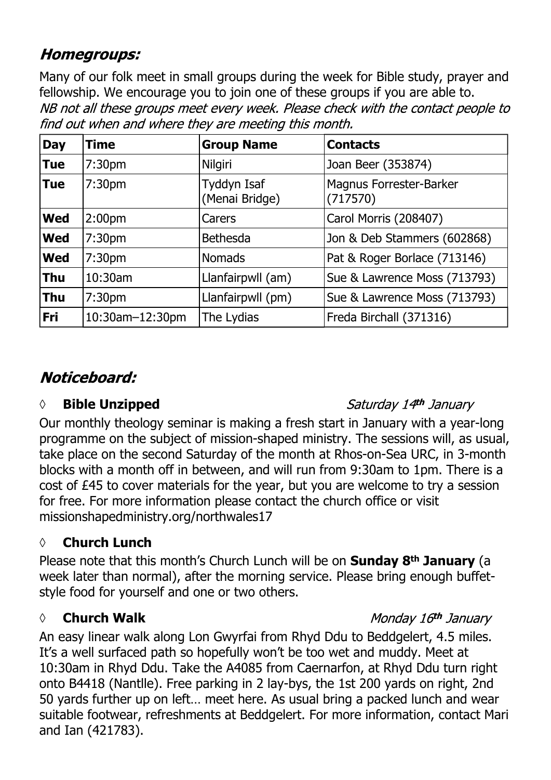#### **Homegroups:**

Many of our folk meet in small groups during the week for Bible study, prayer and fellowship. We encourage you to join one of these groups if you are able to.NB not all these groups meet every week. Please check with the contact people to find out when and where they are meeting this month.

| <b>Day</b> | <b>Time</b>        | <b>Group Name</b>             | <b>Contacts</b>                     |
|------------|--------------------|-------------------------------|-------------------------------------|
| <b>Tue</b> | 7:30 <sub>pm</sub> | Nilgiri                       | Joan Beer (353874)                  |
| <b>Tue</b> | 7:30 <sub>pm</sub> | Tyddyn Isaf<br>(Menai Bridge) | Magnus Forrester-Barker<br>(717570) |
| <b>Wed</b> | 2:00 <sub>pm</sub> | Carers                        | Carol Morris (208407)               |
| <b>Wed</b> | 7:30 <sub>pm</sub> | <b>Bethesda</b>               | Jon & Deb Stammers (602868)         |
| <b>Wed</b> | 7:30pm             | <b>Nomads</b>                 | Pat & Roger Borlace (713146)        |
| <b>Thu</b> | 10:30am            | Llanfairpwll (am)             | Sue & Lawrence Moss (713793)        |
| <b>Thu</b> | 7:30 <sub>pm</sub> | Llanfairpwll (pm)             | Sue & Lawrence Moss (713793)        |
| Fri        | 10:30am-12:30pm    | The Lydias                    | Freda Birchall (371316)             |

### Noticeboard:

#### *◊* **Bible Unzipped**

#### Saturday 14th January

Our monthly theology seminar is making a fresh start in January with a year-long programme on the subject of mission-shaped ministry. The sessions will, as usual, take place on the second Saturday of the month at Rhos-on-Sea URC, in 3-month blocks with a month off in between, and will run from 9:30am to 1pm. There is a cost of £45 to cover materials for the year, but you are welcome to try a session for free. For more information please contact the church office or visit missionshapedministry.org/northwales17

#### **◊ Church Lunch**

Please note that this month's Church Lunch will be on **Sunday 8th January** (a week later than normal), after the morning service. Please bring enough buffetstyle food for yourself and one or two others.

#### *◊* **Church Walk**

#### Monday 16th January

An easy linear walk along Lon Gwyrfai from Rhyd Ddu to Beddgelert, 4.5 miles. It's a well surfaced path so hopefully won't be too wet and muddy. Meet at 10:30am in Rhyd Ddu. Take the A4085 from Caernarfon, at Rhyd Ddu turn right onto B4418 (Nantlle). Free parking in 2 lay-bys, the 1st 200 yards on right, 2nd 50 yards further up on left… meet here. As usual bring a packed lunch and wear suitable footwear, refreshments at Beddgelert. For more information, contact Mari and Ian (421783).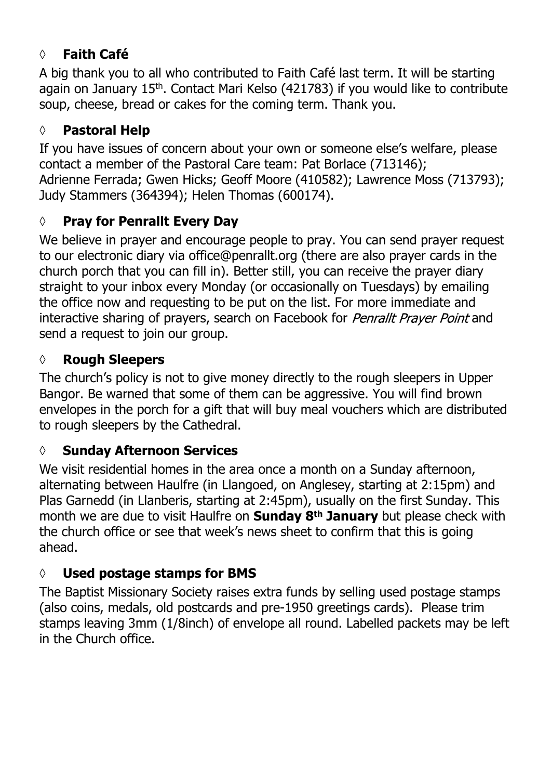#### **◊ Faith Café**

A big thank you to all who contributed to Faith Café last term. It will be starting again on January 15<sup>th</sup>. Contact Mari Kelso (421783) if you would like to contribute soup, cheese, bread or cakes for the coming term. Thank you.

#### **◊ Pastoral Help**

If you have issues of concern about your own or someone else's welfare, please contact a member of the Pastoral Care team: Pat Borlace (713146); Adrienne Ferrada; Gwen Hicks; Geoff Moore (410582); Lawrence Moss (713793); Judy Stammers (364394); Helen Thomas (600174).

#### **◊ Pray for Penrallt Every Day**

We believe in prayer and encourage people to pray. You can send prayer request to our electronic diary via office@penrallt.org (there are also prayer cards in the church porch that you can fill in). Better still, you can receive the prayer diary straight to your inbox every Monday (or occasionally on Tuesdays) by emailing the office now and requesting to be put on the list. For more immediate and interactive sharing of prayers, search on Facebook for *Penrallt Prayer Point* and send a request to join our group.

#### **◊ Rough Sleepers**

The church's policy is not to give money directly to the rough sleepers in Upper Bangor. Be warned that some of them can be aggressive. You will find brown envelopes in the porch for a gift that will buy meal vouchers which are distributed to rough sleepers by the Cathedral.

#### **◊ Sunday Afternoon Services**

We visit residential homes in the area once a month on a Sunday afternoon, alternating between Haulfre (in Llangoed, on Anglesey, starting at 2:15pm) and Plas Garnedd (in Llanberis, starting at 2:45pm), usually on the first Sunday. This month we are due to visit Haulfre on **Sunday 8th January** but please check with the church office or see that week's news sheet to confirm that this is going ahead.

#### **◊ Used postage stamps for BMS**

The Baptist Missionary Society raises extra funds by selling used postage stamps (also coins, medals, old postcards and pre-1950 greetings cards). Please trim stamps leaving 3mm (1/8inch) of envelope all round. Labelled packets may be left in the Church office.